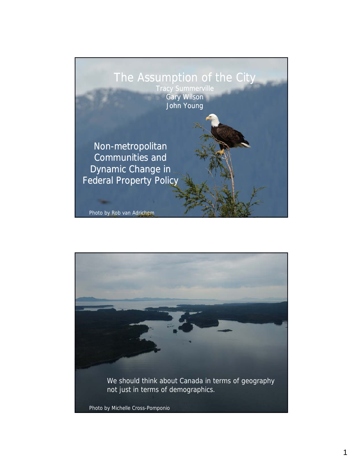

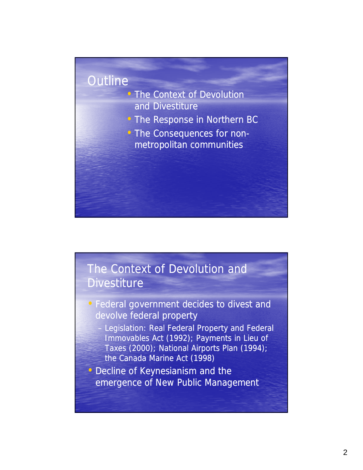#### **Outline**

- The Context of Devolution and Divestiture
- The Response in Northern BC
- The Consequences for nonmetropolitan communities

#### The Context of Devolution and **Divestiture**

- Federal government decides to divest and devolve federal property
	- Legislation: Real Federal Property and Federal Immovables Act (1992); Payments in Lieu of Taxes (2000); National Airports Plan (1994); the Canada Marine Act (1998)
- Decline of Keynesianism and the emergence of New Public Management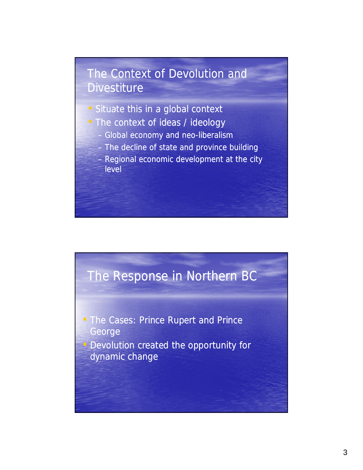## The Context of Devolution and **Divestiture**

- Situate this in a global context
- The context of ideas / ideology
	- Global economy and neo-liberalism
	- $-$  The decline of state and province building
	- Regional economic development at the city level

# The Response in Northern BC

• The Cases: Prince Rupert and Prince George • Devolution created the opportunity for dynamic change